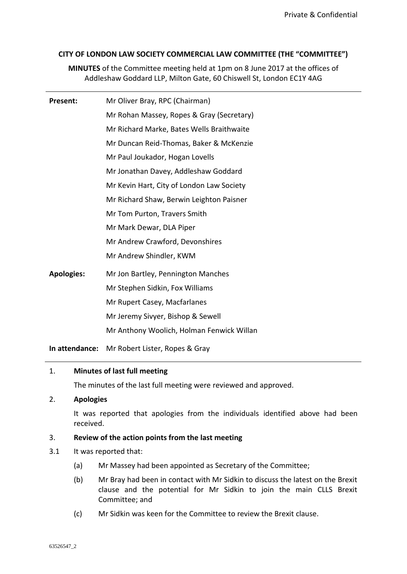## **CITY OF LONDON LAW SOCIETY COMMERCIAL LAW COMMITTEE (THE "COMMITTEE")**

**MINUTES** of the Committee meeting held at 1pm on 8 June 2017 at the offices of Addleshaw Goddard LLP, Milton Gate, 60 Chiswell St, London EC1Y 4AG

| Present:          | Mr Oliver Bray, RPC (Chairman)            |
|-------------------|-------------------------------------------|
|                   | Mr Rohan Massey, Ropes & Gray (Secretary) |
|                   | Mr Richard Marke, Bates Wells Braithwaite |
|                   | Mr Duncan Reid-Thomas, Baker & McKenzie   |
|                   | Mr Paul Joukador, Hogan Lovells           |
|                   | Mr Jonathan Davey, Addleshaw Goddard      |
|                   | Mr Kevin Hart, City of London Law Society |
|                   | Mr Richard Shaw, Berwin Leighton Paisner  |
|                   | Mr Tom Purton, Travers Smith              |
|                   | Mr Mark Dewar, DLA Piper                  |
|                   | Mr Andrew Crawford, Devonshires           |
|                   | Mr Andrew Shindler, KWM                   |
| <b>Apologies:</b> | Mr Jon Bartley, Pennington Manches        |
|                   | Mr Stephen Sidkin, Fox Williams           |
|                   | Mr Rupert Casey, Macfarlanes              |
|                   | Mr Jeremy Sivyer, Bishop & Sewell         |
|                   | Mr Anthony Woolich, Holman Fenwick Willan |
|                   | . 0                                       |

**In attendance:** Mr Robert Lister, Ropes & Gray

### 1. **Minutes of last full meeting**

The minutes of the last full meeting were reviewed and approved.

### 2. **Apologies**

It was reported that apologies from the individuals identified above had been received.

# 3. **Review of the action points from the last meeting**

- 3.1 It was reported that:
	- (a) Mr Massey had been appointed as Secretary of the Committee;
	- (b) Mr Bray had been in contact with Mr Sidkin to discuss the latest on the Brexit clause and the potential for Mr Sidkin to join the main CLLS Brexit Committee; and
	- (c) Mr Sidkin was keen for the Committee to review the Brexit clause.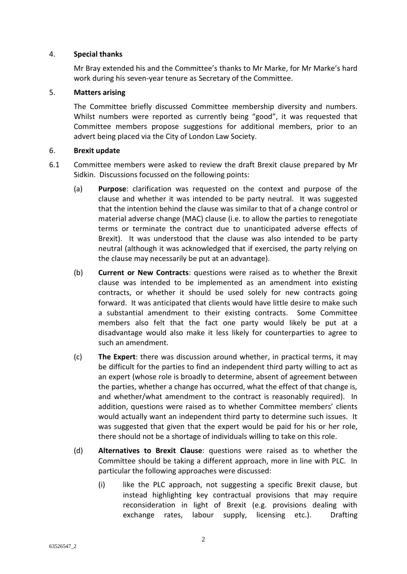### 4. **Special thanks**

Mr Bray extended his and the Committee's thanks to Mr Marke, for Mr Marke's hard work during his seven-year tenure as Secretary of the Committee.

#### 5. **Matters arising**

The Committee briefly discussed Committee membership diversity and numbers. Whilst numbers were reported as currently being "good", it was requested that Committee members propose suggestions for additional members, prior to an advert being placed via the City of London Law Society.

#### 6. **Brexit update**

- 6.1 Committee members were asked to review the draft Brexit clause prepared by Mr Sidkin. Discussions focussed on the following points:
	- (a) **Purpose**: clarification was requested on the context and purpose of the clause and whether it was intended to be party neutral. It was suggested that the intention behind the clause was similar to that of a change control or material adverse change (MAC) clause (i.e. to allow the parties to renegotiate terms or terminate the contract due to unanticipated adverse effects of Brexit). It was understood that the clause was also intended to be party neutral (although it was acknowledged that if exercised, the party relying on the clause may necessarily be put at an advantage).
	- (b) **Current or New Contracts**: questions were raised as to whether the Brexit clause was intended to be implemented as an amendment into existing contracts, or whether it should be used solely for new contracts going forward. It was anticipated that clients would have little desire to make such a substantial amendment to their existing contracts. Some Committee members also felt that the fact one party would likely be put at a disadvantage would also make it less likely for counterparties to agree to such an amendment.
	- (c) **The Expert**: there was discussion around whether, in practical terms, it may be difficult for the parties to find an independent third party willing to act as an expert (whose role is broadly to determine, absent of agreement between the parties, whether a change has occurred, what the effect of that change is, and whether/what amendment to the contract is reasonably required). In addition, questions were raised as to whether Committee members' clients would actually want an independent third party to determine such issues. It was suggested that given that the expert would be paid for his or her role, there should not be a shortage of individuals willing to take on this role.
	- (d) **Alternatives to Brexit Clause**: questions were raised as to whether the Committee should be taking a different approach, more in line with PLC. In particular the following approaches were discussed:
		- (i) like the PLC approach, not suggesting a specific Brexit clause, but instead highlighting key contractual provisions that may require reconsideration in light of Brexit (e.g. provisions dealing with exchange rates, labour supply, licensing etc.). Drafting